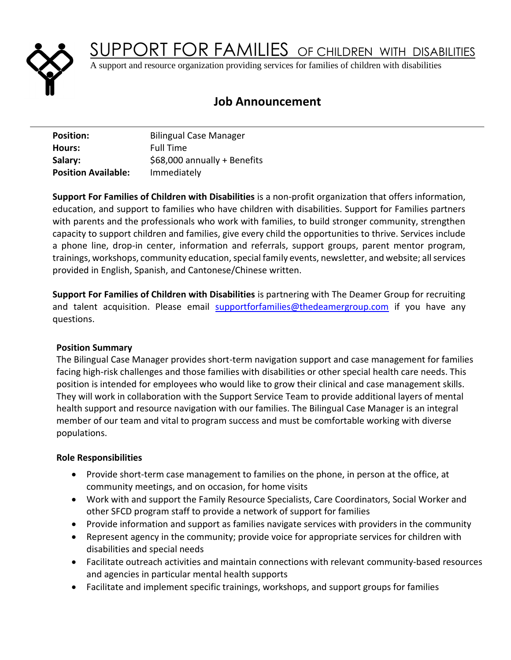

SUPPORT FOR FAMILIES OF CHILDREN WITH DISABILITIES

A support and resource organization providing services for families of children with disabilities

# **Job Announcement**

| <b>Position:</b>           | <b>Bilingual Case Manager</b> |
|----------------------------|-------------------------------|
| Hours:                     | <b>Full Time</b>              |
| Salary:                    | \$68,000 annually + Benefits  |
| <b>Position Available:</b> | Immediately                   |

**Support For Families of Children with Disabilities** is a non-profit organization that offers information, education, and support to families who have children with disabilities. Support for Families partners with parents and the professionals who work with families, to build stronger community, strengthen capacity to support children and families, give every child the opportunities to thrive. Services include a phone line, drop-in center, information and referrals, support groups, parent mentor program, trainings, workshops, community education, special family events, newsletter, and website; all services provided in English, Spanish, and Cantonese/Chinese written.

**Support For Families of Children with Disabilities** is partnering with The Deamer Group for recruiting and talent acquisition. Please email **supportforfamilies@thedeamergroup.com** if you have any questions.

# **Position Summary**

The Bilingual Case Manager provides short-term navigation support and case management for families facing high-risk challenges and those families with disabilities or other special health care needs. This position is intended for employees who would like to grow their clinical and case management skills. They will work in collaboration with the Support Service Team to provide additional layers of mental health support and resource navigation with our families. The Bilingual Case Manager is an integral member of our team and vital to program success and must be comfortable working with diverse populations.

# **Role Responsibilities**

- Provide short-term case management to families on the phone, in person at the office, at community meetings, and on occasion, for home visits
- Work with and support the Family Resource Specialists, Care Coordinators, Social Worker and other SFCD program staff to provide a network of support for families
- Provide information and support as families navigate services with providers in the community
- Represent agency in the community; provide voice for appropriate services for children with disabilities and special needs
- Facilitate outreach activities and maintain connections with relevant community-based resources and agencies in particular mental health supports
- Facilitate and implement specific trainings, workshops, and support groups for families